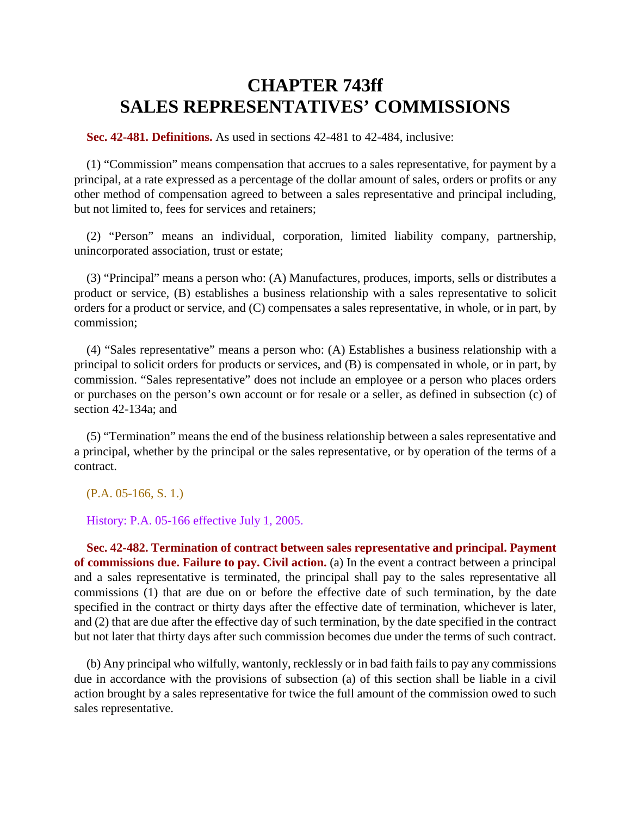## **CHAPTER 743ff SALES REPRESENTATIVES' COMMISSIONS**

**Sec. 42-481. Definitions.** As used in sections 42-481 to 42-484, inclusive:

(1) "Commission" means compensation that accrues to a sales representative, for payment by a principal, at a rate expressed as a percentage of the dollar amount of sales, orders or profits or any other method of compensation agreed to between a sales representative and principal including, but not limited to, fees for services and retainers;

(2) "Person" means an individual, corporation, limited liability company, partnership, unincorporated association, trust or estate;

(3) "Principal" means a person who: (A) Manufactures, produces, imports, sells or distributes a product or service, (B) establishes a business relationship with a sales representative to solicit orders for a product or service, and (C) compensates a sales representative, in whole, or in part, by commission;

(4) "Sales representative" means a person who: (A) Establishes a business relationship with a principal to solicit orders for products or services, and (B) is compensated in whole, or in part, by commission. "Sales representative" does not include an employee or a person who places orders or purchases on the person's own account or for resale or a seller, as defined in subsection (c) of section 42-134a; and

(5) "Termination" means the end of the business relationship between a sales representative and a principal, whether by the principal or the sales representative, or by operation of the terms of a contract.

(P.A. 05-166, S. 1.)

History: P.A. 05-166 effective July 1, 2005.

**Sec. 42-482. Termination of contract between sales representative and principal. Payment of commissions due. Failure to pay. Civil action.** (a) In the event a contract between a principal and a sales representative is terminated, the principal shall pay to the sales representative all commissions (1) that are due on or before the effective date of such termination, by the date specified in the contract or thirty days after the effective date of termination, whichever is later, and (2) that are due after the effective day of such termination, by the date specified in the contract but not later that thirty days after such commission becomes due under the terms of such contract.

(b) Any principal who wilfully, wantonly, recklessly or in bad faith fails to pay any commissions due in accordance with the provisions of subsection (a) of this section shall be liable in a civil action brought by a sales representative for twice the full amount of the commission owed to such sales representative.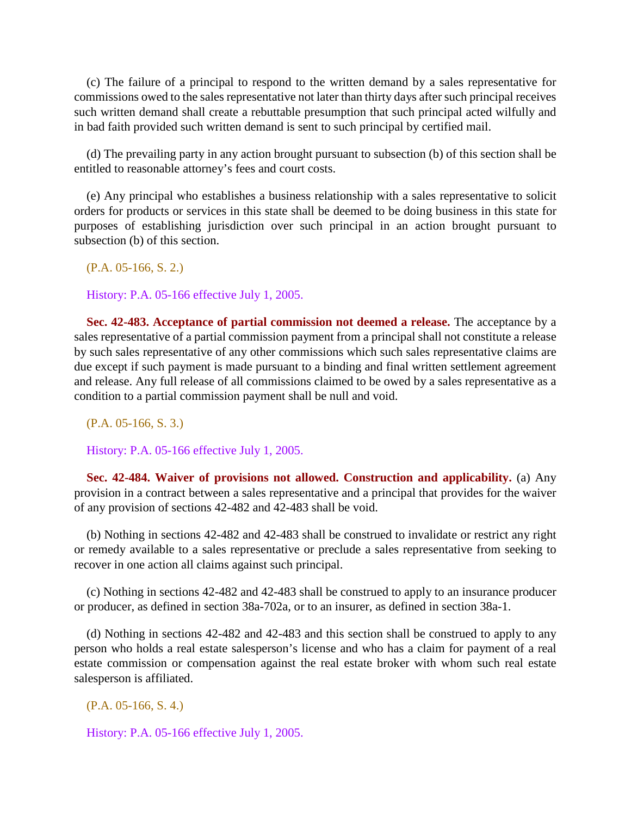(c) The failure of a principal to respond to the written demand by a sales representative for commissions owed to the sales representative not later than thirty days after such principal receives such written demand shall create a rebuttable presumption that such principal acted wilfully and in bad faith provided such written demand is sent to such principal by certified mail.

(d) The prevailing party in any action brought pursuant to subsection (b) of this section shall be entitled to reasonable attorney's fees and court costs.

(e) Any principal who establishes a business relationship with a sales representative to solicit orders for products or services in this state shall be deemed to be doing business in this state for purposes of establishing jurisdiction over such principal in an action brought pursuant to subsection (b) of this section.

(P.A. 05-166, S. 2.)

History: P.A. 05-166 effective July 1, 2005.

**Sec. 42-483. Acceptance of partial commission not deemed a release.** The acceptance by a sales representative of a partial commission payment from a principal shall not constitute a release by such sales representative of any other commissions which such sales representative claims are due except if such payment is made pursuant to a binding and final written settlement agreement and release. Any full release of all commissions claimed to be owed by a sales representative as a condition to a partial commission payment shall be null and void.

(P.A. 05-166, S. 3.)

History: P.A. 05-166 effective July 1, 2005.

**Sec. 42-484. Waiver of provisions not allowed. Construction and applicability.** (a) Any provision in a contract between a sales representative and a principal that provides for the waiver of any provision of sections 42-482 and 42-483 shall be void.

(b) Nothing in sections 42-482 and 42-483 shall be construed to invalidate or restrict any right or remedy available to a sales representative or preclude a sales representative from seeking to recover in one action all claims against such principal.

(c) Nothing in sections 42-482 and 42-483 shall be construed to apply to an insurance producer or producer, as defined in section 38a-702a, or to an insurer, as defined in section 38a-1.

(d) Nothing in sections 42-482 and 42-483 and this section shall be construed to apply to any person who holds a real estate salesperson's license and who has a claim for payment of a real estate commission or compensation against the real estate broker with whom such real estate salesperson is affiliated.

(P.A. 05-166, S. 4.)

History: P.A. 05-166 effective July 1, 2005.